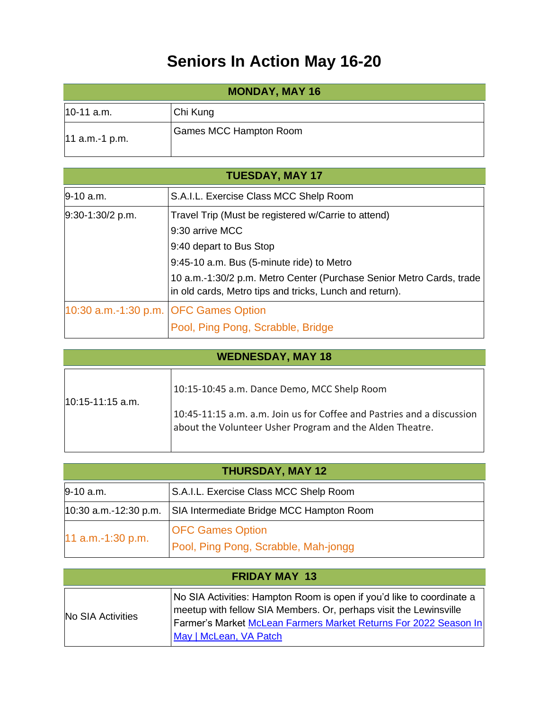## **Seniors In Action May 16-20**

| <b>MONDAY, MAY 16</b> |                               |  |
|-----------------------|-------------------------------|--|
| $10-11$ a.m.          | Chi Kung                      |  |
| $ 11$ a.m.-1 p.m.     | <b>Games MCC Hampton Room</b> |  |

| <b>TUESDAY, MAY 17</b>                  |                                                                                                                                 |  |
|-----------------------------------------|---------------------------------------------------------------------------------------------------------------------------------|--|
| $9-10$ a.m.                             | S.A.I.L. Exercise Class MCC Shelp Room                                                                                          |  |
| 9:30-1:30/2 p.m.                        | Travel Trip (Must be registered w/Carrie to attend)                                                                             |  |
|                                         | 9:30 arrive MCC                                                                                                                 |  |
|                                         | 9:40 depart to Bus Stop                                                                                                         |  |
|                                         | 9:45-10 a.m. Bus (5-minute ride) to Metro                                                                                       |  |
|                                         | 10 a.m.-1:30/2 p.m. Metro Center (Purchase Senior Metro Cards, trade<br>in old cards, Metro tips and tricks, Lunch and return). |  |
| 10:30 a.m.-1:30 p.m.   OFC Games Option |                                                                                                                                 |  |
|                                         | Pool, Ping Pong, Scrabble, Bridge                                                                                               |  |

| <b>WEDNESDAY, MAY 18</b> |                                                                                                                                                                                   |  |
|--------------------------|-----------------------------------------------------------------------------------------------------------------------------------------------------------------------------------|--|
| $10:15-11:15$ a.m.       | 10:15-10:45 a.m. Dance Demo, MCC Shelp Room<br>10:45-11:15 a.m. a.m. Join us for Coffee and Pastries and a discussion<br>about the Volunteer Usher Program and the Alden Theatre. |  |

| <b>THURSDAY, MAY 12</b> |                                                                 |  |
|-------------------------|-----------------------------------------------------------------|--|
| $9-10$ a.m.             | S.A.I.L. Exercise Class MCC Shelp Room                          |  |
| $10:30$ a.m.-12:30 p.m. | SIA Intermediate Bridge MCC Hampton Room                        |  |
| 11 a.m.-1:30 p.m.       | <b>OFC Games Option</b><br>Pool, Ping Pong, Scrabble, Mah-jongg |  |

| <b>FRIDAY MAY 13</b> |                                                                                                                                                                                                                                          |  |
|----------------------|------------------------------------------------------------------------------------------------------------------------------------------------------------------------------------------------------------------------------------------|--|
| No SIA Activities    | No SIA Activities: Hampton Room is open if you'd like to coordinate a<br>meetup with fellow SIA Members. Or, perhaps visit the Lewinsville<br>Farmer's Market McLean Farmers Market Returns For 2022 Season In<br>May   McLean, VA Patch |  |